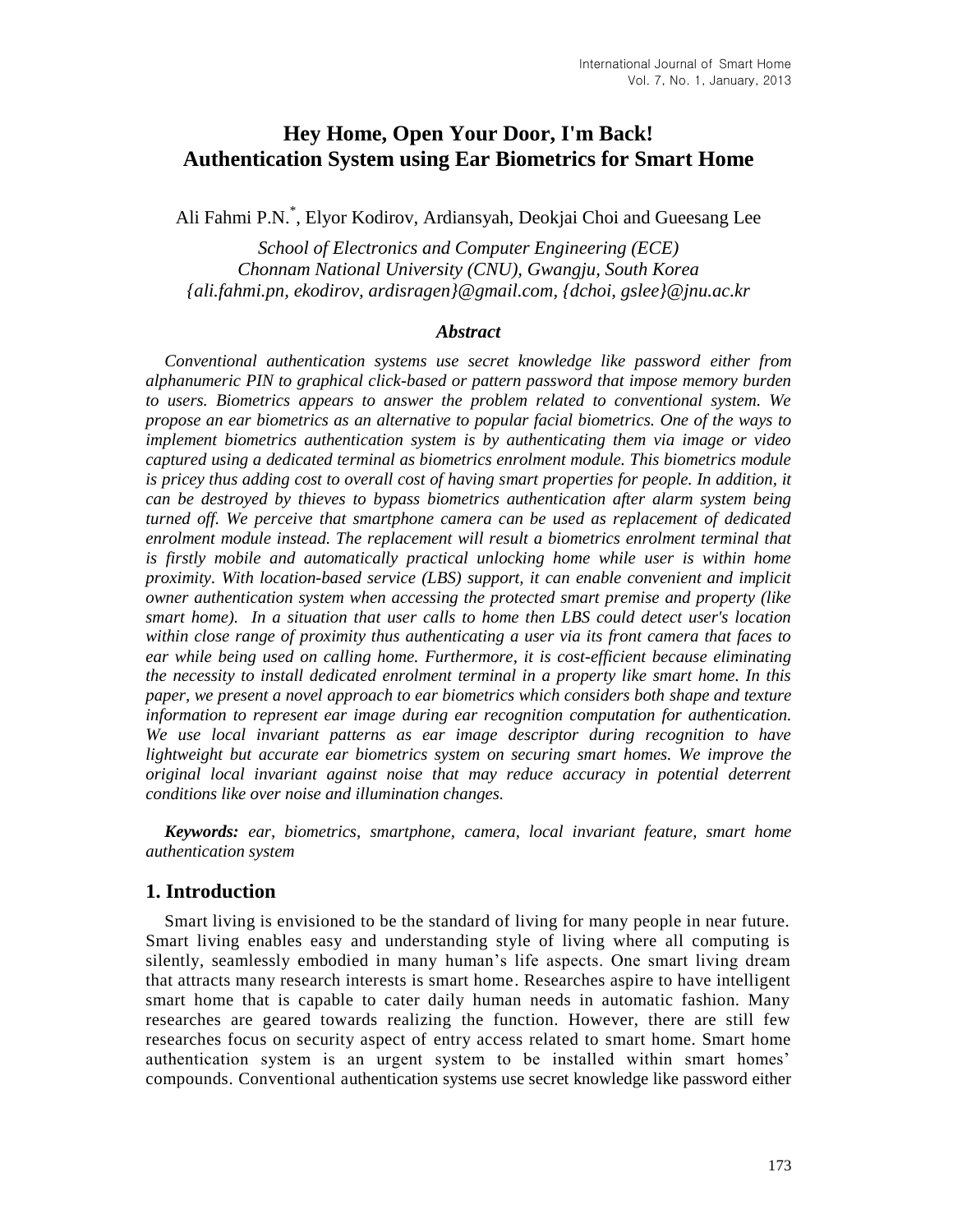# **Hey Home, Open Your Door, I'm Back! Authentication System using Ear Biometrics for Smart Home**

Ali Fahmi P.N. \* , Elyor Kodirov, Ardiansyah, Deokjai Choi and Gueesang Lee

*School of Electronics and Computer Engineering (ECE) Chonnam National University (CNU), Gwangju, South Korea {ali.fahmi.pn, ekodirov, ardisragen}@gmail.com, {dchoi, gslee}@jnu.ac.kr* 

#### *Abstract*

*Conventional authentication systems use secret knowledge like password either from alphanumeric PIN to graphical click-based or pattern password that impose memory burden to users. Biometrics appears to answer the problem related to conventional system. We propose an ear biometrics as an alternative to popular facial biometrics. One of the ways to implement biometrics authentication system is by authenticating them via image or video captured using a dedicated terminal as biometrics enrolment module. This biometrics module*  is pricey thus adding cost to overall cost of having smart properties for people. In addition, it *can be destroyed by thieves to bypass biometrics authentication after alarm system being turned off. We perceive that smartphone camera can be used as replacement of dedicated enrolment module instead. The replacement will result a biometrics enrolment terminal that*  is firstly mobile and automatically practical unlocking home while user is within home *proximity. With location-based service (LBS) support, it can enable convenient and implicit owner authentication system when accessing the protected smart premise and property (like smart home). In a situation that user calls to home then LBS could detect user's location within close range of proximity thus authenticating a user via its front camera that faces to ear while being used on calling home. Furthermore, it is cost-efficient because eliminating the necessity to install dedicated enrolment terminal in a property like smart home. In this paper, we present a novel approach to ear biometrics which considers both shape and texture information to represent ear image during ear recognition computation for authentication. We use local invariant patterns as ear image descriptor during recognition to have lightweight but accurate ear biometrics system on securing smart homes. We improve the original local invariant against noise that may reduce accuracy in potential deterrent conditions like over noise and illumination changes.*

*Keywords: ear, biometrics, smartphone, camera, local invariant feature, smart home authentication system*

### **1. Introduction**

Smart living is envisioned to be the standard of living for many people in near future. Smart living enables easy and understanding style of living where all computing is silently, seamlessly embodied in many human's life aspects. One smart living dream that attracts many research interests is smart home. Researches aspire to have intelligent smart home that is capable to cater daily human needs in automatic fashion. Many researches are geared towards realizing the function. However, there are still few researches focus on security aspect of entry access related to smart home. Smart home authentication system is an urgent system to be installed within smart homes' compounds. Conventional authentication systems use secret knowledge like password either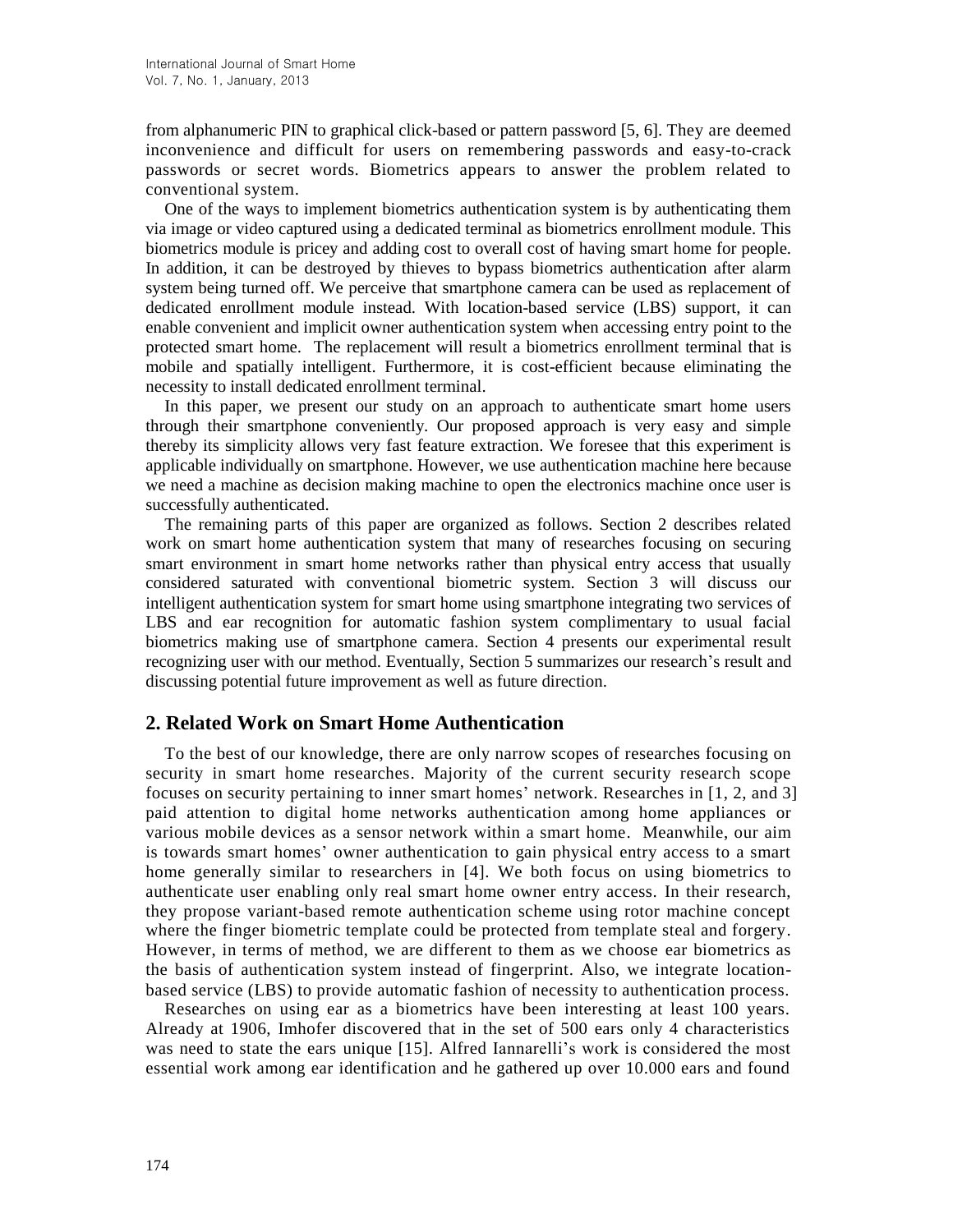from alphanumeric PIN to graphical click-based or pattern password [5, 6]. They are deemed inconvenience and difficult for users on remembering passwords and easy-to-crack passwords or secret words. Biometrics appears to answer the problem related to conventional system.

One of the ways to implement biometrics authentication system is by authenticating them via image or video captured using a dedicated terminal as biometrics enrollment module. This biometrics module is pricey and adding cost to overall cost of having smart home for people. In addition, it can be destroyed by thieves to bypass biometrics authentication after alarm system being turned off. We perceive that smartphone camera can be used as replacement of dedicated enrollment module instead. With location-based service (LBS) support, it can enable convenient and implicit owner authentication system when accessing entry point to the protected smart home. The replacement will result a biometrics enrollment terminal that is mobile and spatially intelligent. Furthermore, it is cost-efficient because eliminating the necessity to install dedicated enrollment terminal.

In this paper, we present our study on an approach to authenticate smart home users through their smartphone conveniently. Our proposed approach is very easy and simple thereby its simplicity allows very fast feature extraction. We foresee that this experiment is applicable individually on smartphone. However, we use authentication machine here because we need a machine as decision making machine to open the electronics machine once user is successfully authenticated.

The remaining parts of this paper are organized as follows. Section 2 describes related work on smart home authentication system that many of researches focusing on securing smart environment in smart home networks rather than physical entry access that usually considered saturated with conventional biometric system. Section 3 will discuss our intelligent authentication system for smart home using smartphone integrating two services of LBS and ear recognition for automatic fashion system complimentary to usual facial biometrics making use of smartphone camera. Section 4 presents our experimental result recognizing user with our method. Eventually, Section 5 summarizes our research's result and discussing potential future improvement as well as future direction.

## **2. Related Work on Smart Home Authentication**

To the best of our knowledge, there are only narrow scopes of researches focusing on security in smart home researches. Majority of the current security research scope focuses on security pertaining to inner smart homes' network. Researches in [1, 2, and 3] paid attention to digital home networks authentication among home appliances or various mobile devices as a sensor network within a smart home. Meanwhile, our aim is towards smart homes' owner authentication to gain physical entry access to a smart home generally similar to researchers in [4]. We both focus on using biometrics to authenticate user enabling only real smart home owner entry access. In their research, they propose variant-based remote authentication scheme using rotor machine concept where the finger biometric template could be protected from template steal and forgery. However, in terms of method, we are different to them as we choose ear biometrics as the basis of authentication system instead of fingerprint. Also, we integrate locationbased service (LBS) to provide automatic fashion of necessity to authentication process.

Researches on using ear as a biometrics have been interesting at least 100 years. Already at 1906, Imhofer discovered that in the set of 500 ears only 4 characteristics was need to state the ears unique [15]. Alfred Iannarelli's work is considered the most essential work among ear identification and he gathered up over 10.000 ears and found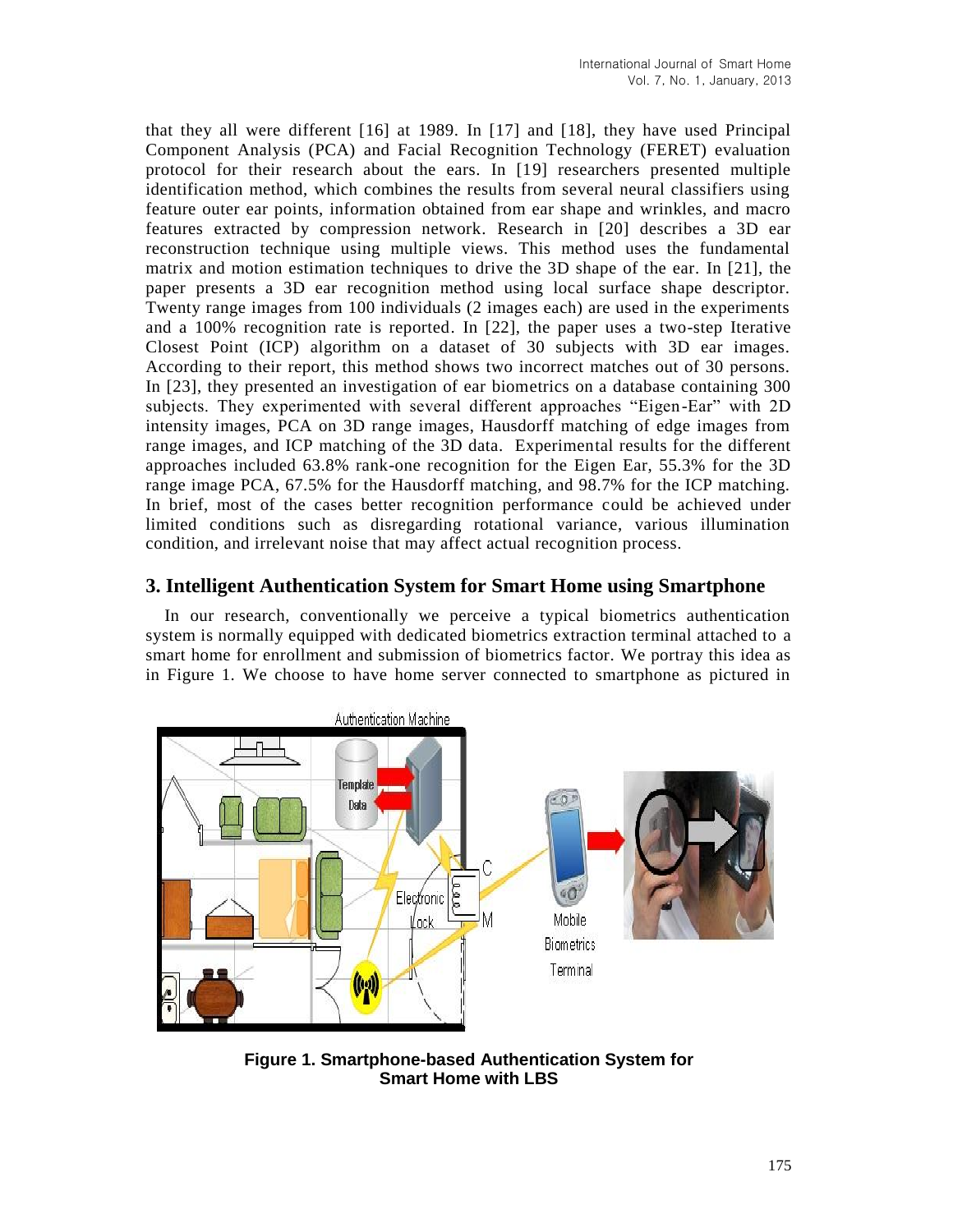that they all were different [16] at 1989. In [17] and [18], they have used Principal Component Analysis (PCA) and Facial Recognition Technology (FERET) evaluation protocol for their research about the ears. In [19] researchers presented multiple identification method, which combines the results from several neural classifiers using feature outer ear points, information obtained from ear shape and wrinkles, and macro features extracted by compression network. Research in [20] describes a 3D ear reconstruction technique using multiple views. This method uses the fundamental matrix and motion estimation techniques to drive the 3D shape of the ear. In [21], the paper presents a 3D ear recognition method using local surface shape descriptor. Twenty range images from 100 individuals (2 images each) are used in the experiments and a 100% recognition rate is reported. In [22], the paper uses a two-step Iterative Closest Point (ICP) algorithm on a dataset of 30 subjects with 3D ear images. According to their report, this method shows two incorrect matches out of 30 persons. In [23], they presented an investigation of ear biometrics on a database containing 300 subjects. They experimented with several different approaches "Eigen-Ear" with 2D intensity images, PCA on 3D range images, Hausdorff matching of edge images from range images, and ICP matching of the 3D data. Experimental results for the different approaches included 63.8% rank-one recognition for the Eigen Ear, 55.3% for the 3D range image PCA, 67.5% for the Hausdorff matching, and 98.7% for the ICP matching. In brief, most of the cases better recognition performance could be achieved under limited conditions such as disregarding rotational variance, various illumination condition, and irrelevant noise that may affect actual recognition process.

# **3. Intelligent Authentication System for Smart Home using Smartphone**

In our research, conventionally we perceive a typical biometrics authentication system is normally equipped with dedicated biometrics extraction terminal attached to a smart home for enrollment and submission of biometrics factor. We portray this idea as in Figure 1. We choose to have home server connected to smartphone as pictured in



**Figure 1. Smartphone-based Authentication System for Smart Home with LBS**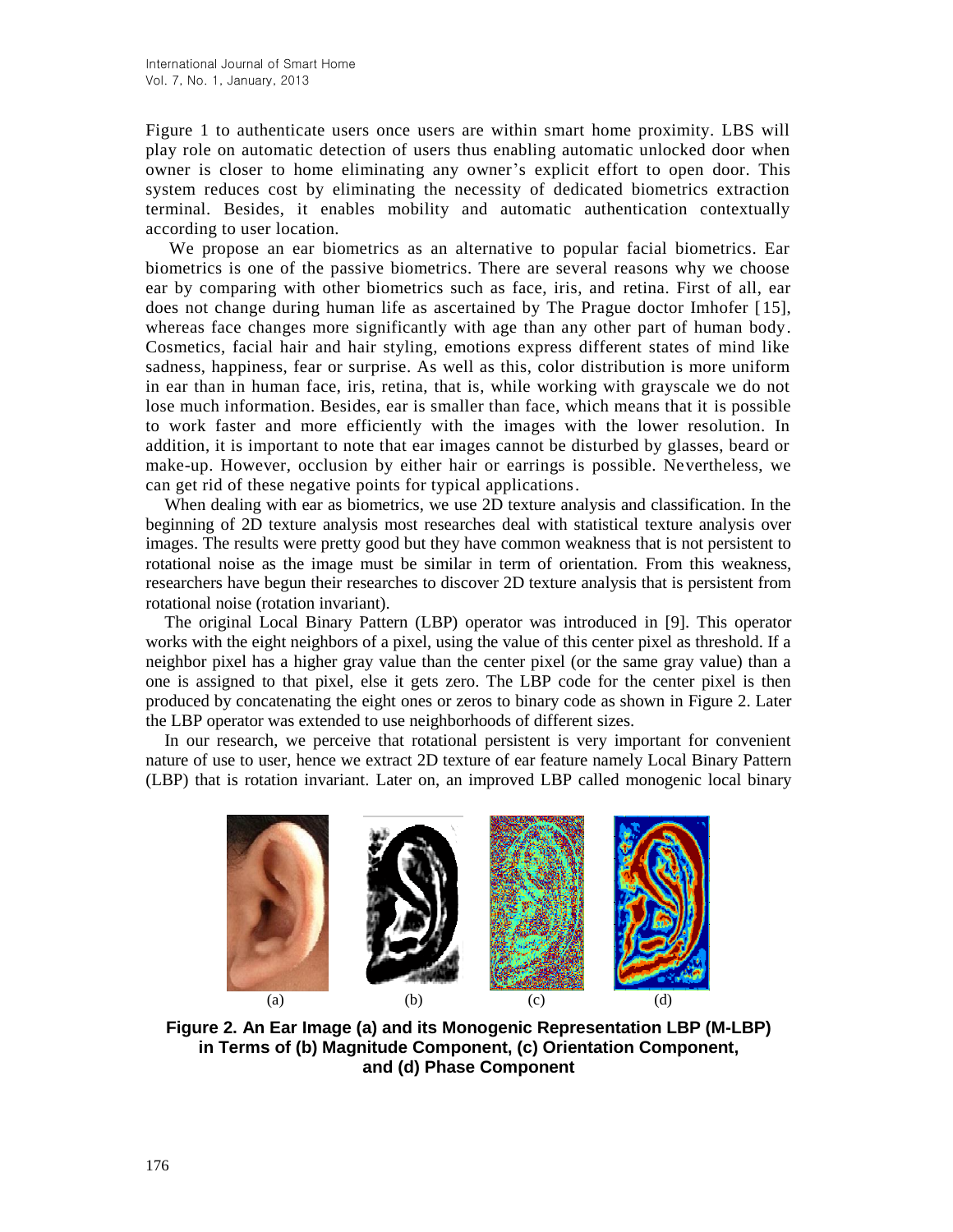Figure 1 to authenticate users once users are within smart home proximity. LBS will play role on automatic detection of users thus enabling automatic unlocked door when owner is closer to home eliminating any owner's explicit effort to open door. This system reduces cost by eliminating the necessity of dedicated biometrics extraction terminal. Besides, it enables mobility and automatic authentication contextually according to user location.

We propose an ear biometrics as an alternative to popular facial biometrics. Ear biometrics is one of the passive biometrics. There are several reasons why we choose ear by comparing with other biometrics such as face, iris, and retina. First of all, ear does not change during human life as ascertained by The Prague doctor Imhofer [15], whereas face changes more significantly with age than any other part of human body. Cosmetics, facial hair and hair styling, emotions express different states of mind like sadness, happiness, fear or surprise. As well as this, color distribution is more uniform in ear than in human face, iris, retina, that is, while working with grayscale we do not lose much information. Besides, ear is smaller than face, which means that it is possible to work faster and more efficiently with the images with the lower resolution. In addition, it is important to note that ear images cannot be disturbed by glasses, beard or make-up. However, occlusion by either hair or earrings is possible. Nevertheless, we can get rid of these negative points for typical applications.

When dealing with ear as biometrics, we use 2D texture analysis and classification. In the beginning of 2D texture analysis most researches deal with statistical texture analysis over images. The results were pretty good but they have common weakness that is not persistent to rotational noise as the image must be similar in term of orientation. From this weakness, researchers have begun their researches to discover 2D texture analysis that is persistent from rotational noise (rotation invariant).

The original Local Binary Pattern (LBP) operator was introduced in [9]. This operator works with the eight neighbors of a pixel, using the value of this center pixel as threshold. If a neighbor pixel has a higher gray value than the center pixel (or the same gray value) than a one is assigned to that pixel, else it gets zero. The LBP code for the center pixel is then produced by concatenating the eight ones or zeros to binary code as shown in Figure 2. Later the LBP operator was extended to use neighborhoods of different sizes.

In our research, we perceive that rotational persistent is very important for convenient nature of use to user, hence we extract 2D texture of ear feature namely Local Binary Pattern (LBP) that is rotation invariant. Later on, an improved LBP called monogenic local binary



**Figure 2. An Ear Image (a) and its Monogenic Representation LBP (M-LBP) in Terms of (b) Magnitude Component, (c) Orientation Component, and (d) Phase Component**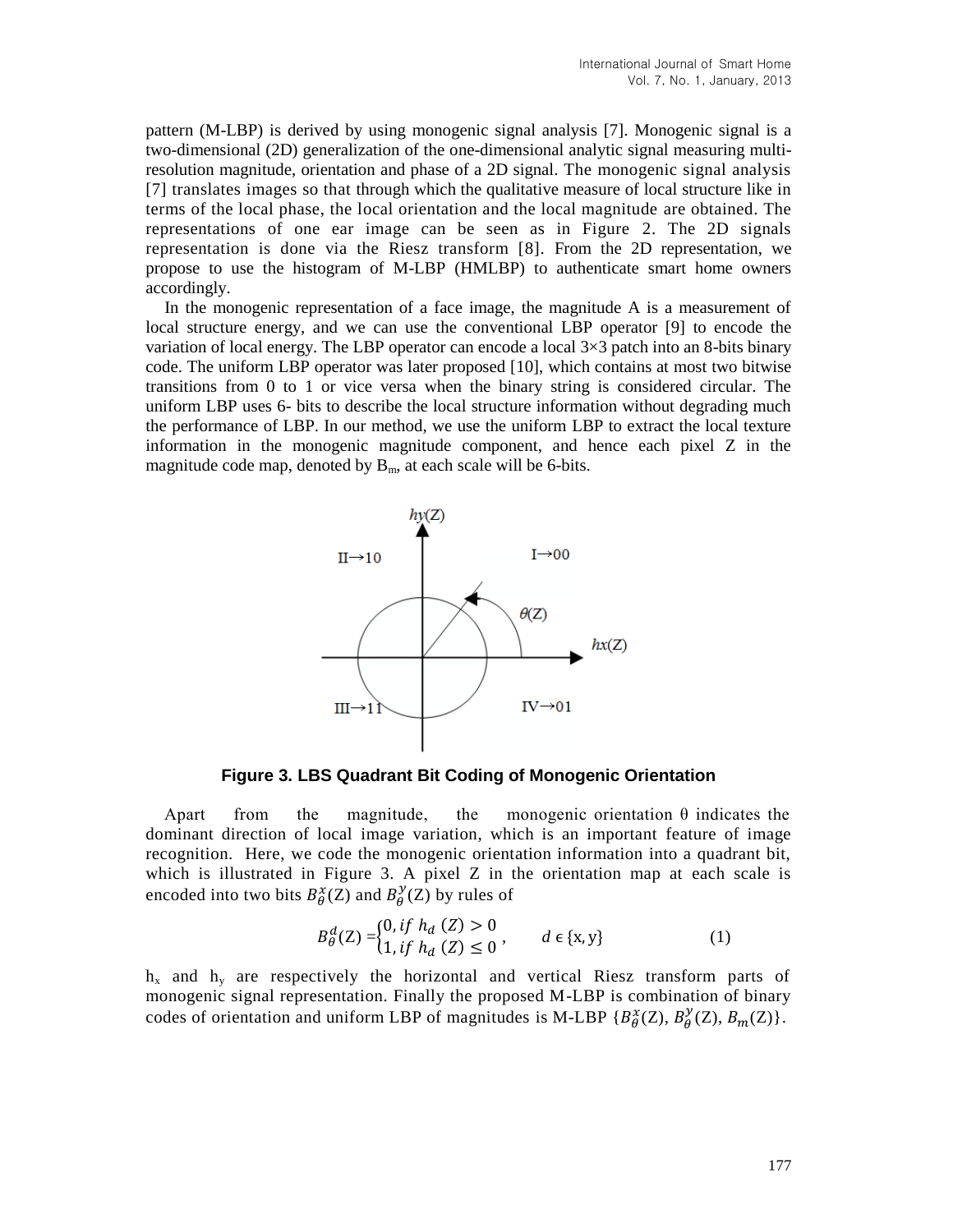pattern (M-LBP) is derived by using monogenic signal analysis [7]. Monogenic signal is a two-dimensional (2D) generalization of the one-dimensional analytic signal measuring multiresolution magnitude, orientation and phase of a 2D signal. The monogenic signal analysis [7] translates images so that through which the qualitative measure of local structure like in terms of the local phase, the local orientation and the local magnitude are obtained. The representations of one ear image can be seen as in Figure 2. The 2D signals representation is done via the Riesz transform [8]. From the 2D representation, we propose to use the histogram of M-LBP (HMLBP) to authenticate smart home owners accordingly.

In the monogenic representation of a face image, the magnitude A is a measurement of local structure energy, and we can use the conventional LBP operator [9] to encode the variation of local energy. The LBP operator can encode a local  $3\times3$  patch into an 8-bits binary code. The uniform LBP operator was later proposed [10], which contains at most two bitwise transitions from 0 to 1 or vice versa when the binary string is considered circular. The uniform LBP uses 6- bits to describe the local structure information without degrading much the performance of LBP. In our method, we use the uniform LBP to extract the local texture information in the monogenic magnitude component, and hence each pixel Z in the magnitude code map, denoted by  $B<sub>m</sub>$ , at each scale will be 6-bits.



**Figure 3. LBS Quadrant Bit Coding of Monogenic Orientation** 

Apart from the magnitude, the monogenic orientation  $\theta$  indicates the dominant direction of local image variation, which is an important feature of image recognition. Here, we code the monogenic orientation information into a quadrant bit, which is illustrated in Figure 3. A pixel Z in the orientation map at each scale is encoded into two bits  $B_{\theta}^{\chi}(\mathbf{Z})$  and  $B_{\theta}^{\chi}(\mathbf{Z})$  by rules of

$$
B_{\theta}^{d}(Z) =\begin{cases} 0, & if h_{d}(Z) > 0 \\ 1, & if h_{d}(Z) \le 0 \end{cases}, \qquad d \in \{x, y\} \tag{1}
$$

 $h_x$  and  $h_y$  are respectively the horizontal and vertical Riesz transform parts of monogenic signal representation. Finally the proposed M-LBP is combination of binary codes of orientation and uniform LBP of magnitudes is M-LBP  $\{B_{\theta}^{\chi}(Z), B_{\theta}^{\gamma}(Z), B_{m}(Z)\}$ .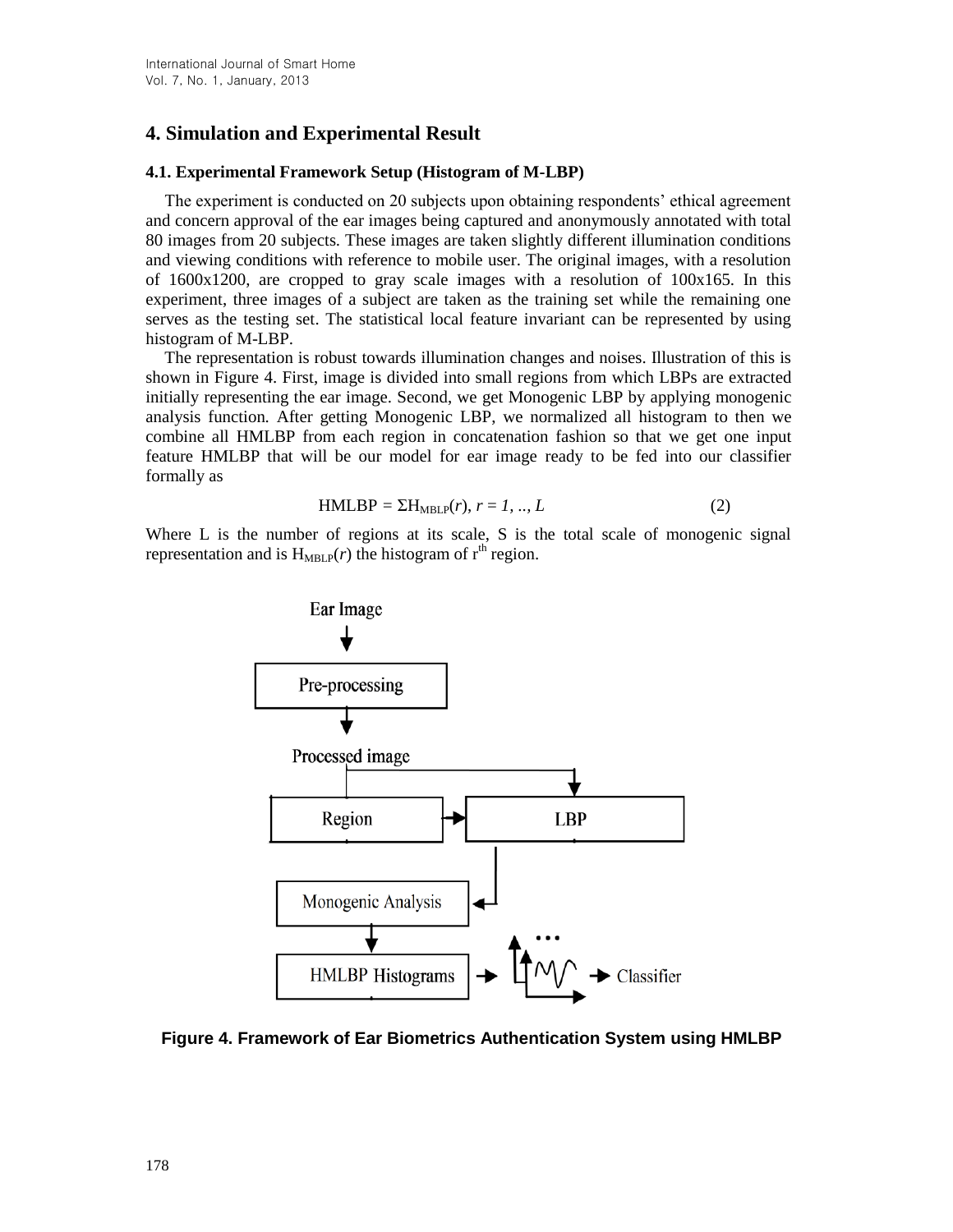# **4. Simulation and Experimental Result**

#### **4.1. Experimental Framework Setup (Histogram of M-LBP)**

The experiment is conducted on 20 subjects upon obtaining respondents' ethical agreement and concern approval of the ear images being captured and anonymously annotated with total 80 images from 20 subjects. These images are taken slightly different illumination conditions and viewing conditions with reference to mobile user. The original images, with a resolution of  $1600x1200$ , are cropped to gray scale images with a resolution of  $100x165$ . In this experiment, three images of a subject are taken as the training set while the remaining one serves as the testing set. The statistical local feature invariant can be represented by using histogram of M-LBP.

The representation is robust towards illumination changes and noises. Illustration of this is shown in Figure 4. First, image is divided into small regions from which LBPs are extracted initially representing the ear image. Second, we get Monogenic LBP by applying monogenic analysis function. After getting Monogenic LBP, we normalized all histogram to then we combine all HMLBP from each region in concatenation fashion so that we get one input feature HMLBP that will be our model for ear image ready to be fed into our classifier formally as

$$
HMLBP = \Sigma H_{MBLP}(r), r = 1, ..., L
$$
 (2)

Where L is the number of regions at its scale, S is the total scale of monogenic signal representation and is  $H_{MBLP}(r)$  the histogram of  $r<sup>th</sup>$  region.



**Figure 4. Framework of Ear Biometrics Authentication System using HMLBP**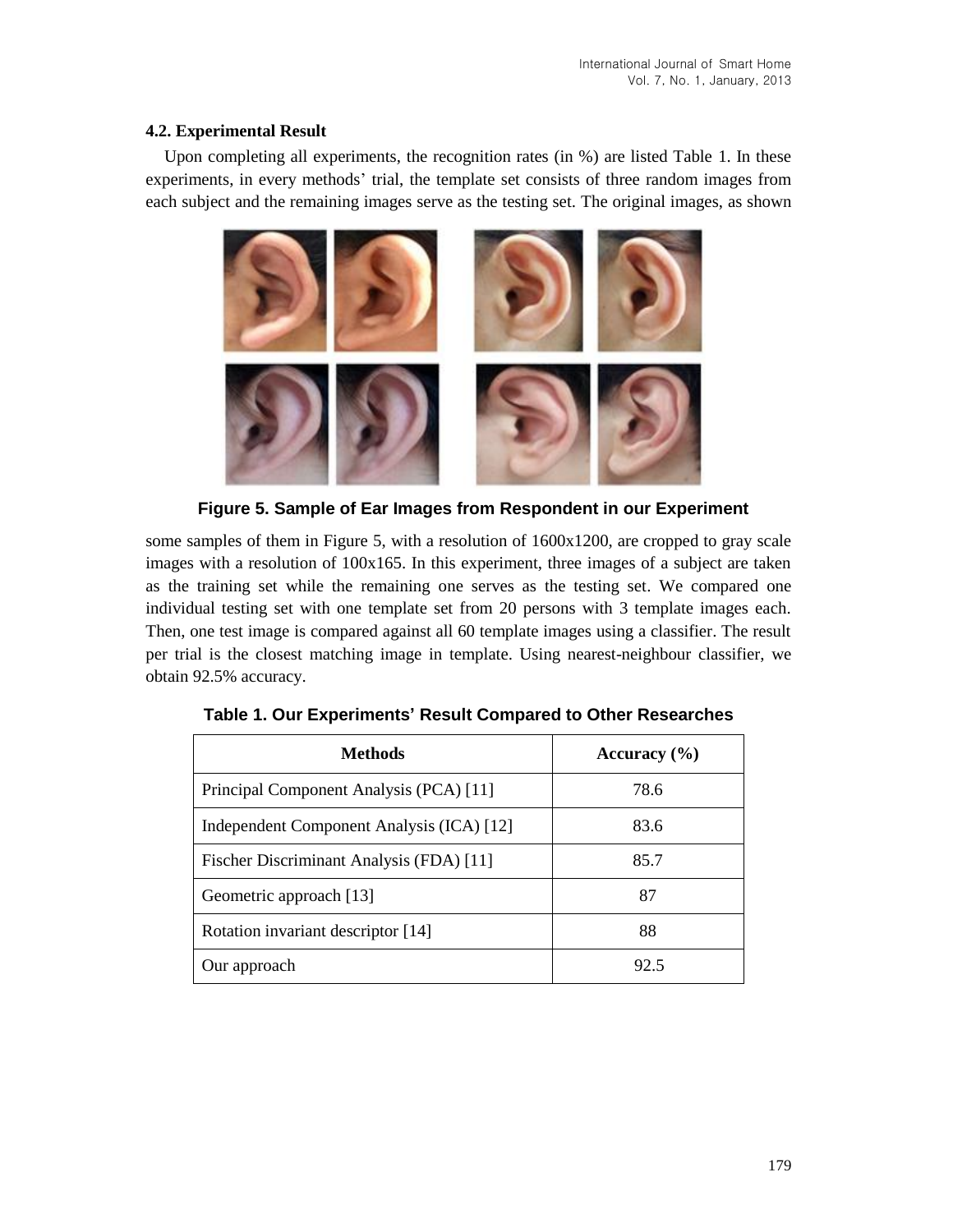### **4.2. Experimental Result**

Upon completing all experiments, the recognition rates (in %) are listed Table 1. In these experiments, in every methods' trial, the template set consists of three random images from each subject and the remaining images serve as the testing set. The original images, as shown



**Figure 5. Sample of Ear Images from Respondent in our Experiment**

some samples of them in Figure 5, with a resolution of  $1600x1200$ , are cropped to gray scale images with a resolution of 100x165. In this experiment, three images of a subject are taken as the training set while the remaining one serves as the testing set. We compared one individual testing set with one template set from 20 persons with 3 template images each. Then, one test image is compared against all 60 template images using a classifier. The result per trial is the closest matching image in template. Using nearest-neighbour classifier, we obtain 92.5% accuracy.

| Methods                                   | Accuracy $(\% )$ |
|-------------------------------------------|------------------|
| Principal Component Analysis (PCA) [11]   | 78.6             |
| Independent Component Analysis (ICA) [12] | 83.6             |
| Fischer Discriminant Analysis (FDA) [11]  | 85.7             |
| Geometric approach [13]                   | 87               |
| Rotation invariant descriptor [14]        | 88               |
| Our approach                              | 92.5             |

**Table 1. Our Experiments' Result Compared to Other Researches**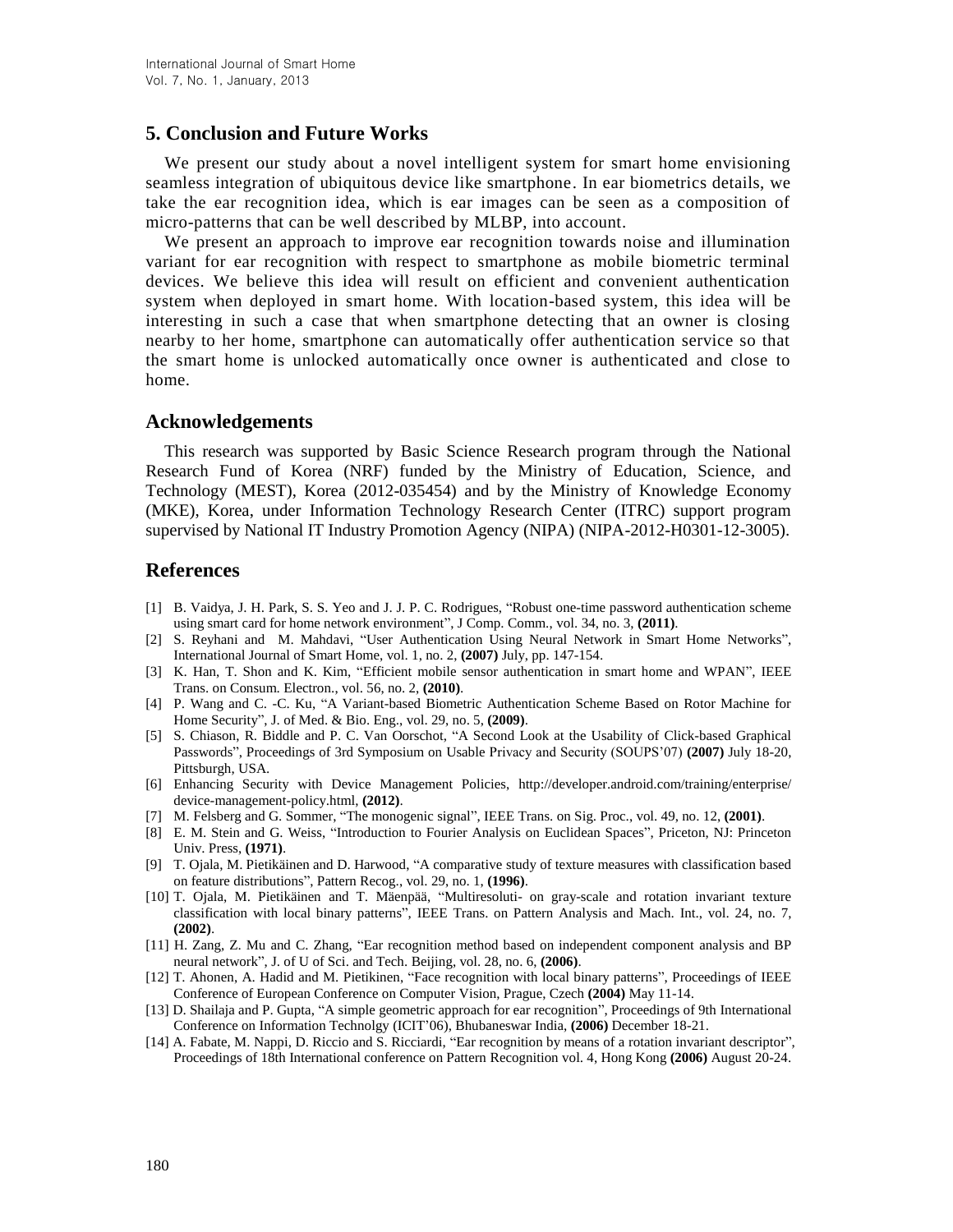## **5. Conclusion and Future Works**

We present our study about a novel intelligent system for smart home envisioning seamless integration of ubiquitous device like smartphone. In ear biometrics details, we take the ear recognition idea, which is ear images can be seen as a composition of micro-patterns that can be well described by MLBP, into account.

We present an approach to improve ear recognition towards noise and illumination variant for ear recognition with respect to smartphone as mobile biometric terminal devices. We believe this idea will result on efficient and convenient authentication system when deployed in smart home. With location-based system, this idea will be interesting in such a case that when smartphone detecting that an owner is closing nearby to her home, smartphone can automatically offer authentication service so that the smart home is unlocked automatically once owner is authenticated and close to home.

### **Acknowledgements**

This research was supported by Basic Science Research program through the National Research Fund of Korea (NRF) funded by the Ministry of Education, Science, and Technology (MEST), Korea (2012-035454) and by the Ministry of Knowledge Economy (MKE), Korea, under Information Technology Research Center (ITRC) support program supervised by National IT Industry Promotion Agency (NIPA) (NIPA-2012-H0301-12-3005).

### **References**

- [1] B. Vaidya, J. H. Park, S. S. Yeo and J. J. P. C. Rodrigues, "Robust one-time password authentication scheme using smart card for home network environment", J Comp. Comm., vol. 34, no. 3, **(2011)**.
- [2] S. Reyhani and M. Mahdavi, "User Authentication Using Neural Network in Smart Home Networks", International Journal of Smart Home, vol. 1, no. 2, **(2007)** July, pp. 147-154.
- [3] K. Han, T. Shon and K. Kim, "Efficient mobile sensor authentication in smart home and WPAN", IEEE Trans. on Consum. Electron., vol. 56, no. 2, **(2010)**.
- [4] P. Wang and C. -C. Ku, "A Variant-based Biometric Authentication Scheme Based on Rotor Machine for Home Security", J. of Med. & Bio. Eng., vol. 29, no. 5, **(2009)**.
- [5] S. Chiason, R. Biddle and P. C. Van Oorschot, "A Second Look at the Usability of Click-based Graphical Passwords", Proceedings of 3rd Symposium on Usable Privacy and Security (SOUPS'07) **(2007)** July 18-20, Pittsburgh, USA.
- [6] Enhancing Security with Device Management Policies, http://developer.android.com/training/enterprise/ device-management-policy.html, **(2012)**.
- [7] M. Felsberg and G. Sommer, "The monogenic signal", IEEE Trans. on Sig. Proc., vol. 49, no. 12, **(2001)**.
- [8] E. M. Stein and G. Weiss, "Introduction to Fourier Analysis on Euclidean Spaces", Priceton, NJ: Princeton Univ. Press, **(1971)**.
- [9] T. Ojala, M. Pietikäinen and D. Harwood, "A comparative study of texture measures with classification based on feature distributions", Pattern Recog., vol. 29, no. 1, **(1996)**.
- [10] T. Ojala, M. Pietikäinen and T. Mäenpää, "Multiresoluti- on gray-scale and rotation invariant texture classification with local binary patterns", IEEE Trans. on Pattern Analysis and Mach. Int., vol. 24, no. 7, **(2002)**.
- [11] H. Zang, Z. Mu and C. Zhang, "Ear recognition method based on independent component analysis and BP neural network", J. of U of Sci. and Tech. Beijing, vol. 28, no. 6, **(2006)**.
- [12] T. Ahonen, A. Hadid and M. Pietikinen, "Face recognition with local binary patterns", Proceedings of IEEE Conference of European Conference on Computer Vision, Prague, Czech **(2004)** May 11-14.
- [13] D. Shailaja and P. Gupta, "A simple geometric approach for ear recognition", Proceedings of 9th International Conference on Information Technolgy (ICIT'06), Bhubaneswar India, **(2006)** December 18-21.
- [14] A. Fabate, M. Nappi, D. Riccio and S. Ricciardi, "Ear recognition by means of a rotation invariant descriptor", Proceedings of 18th International conference on Pattern Recognition vol. 4, Hong Kong **(2006)** August 20-24.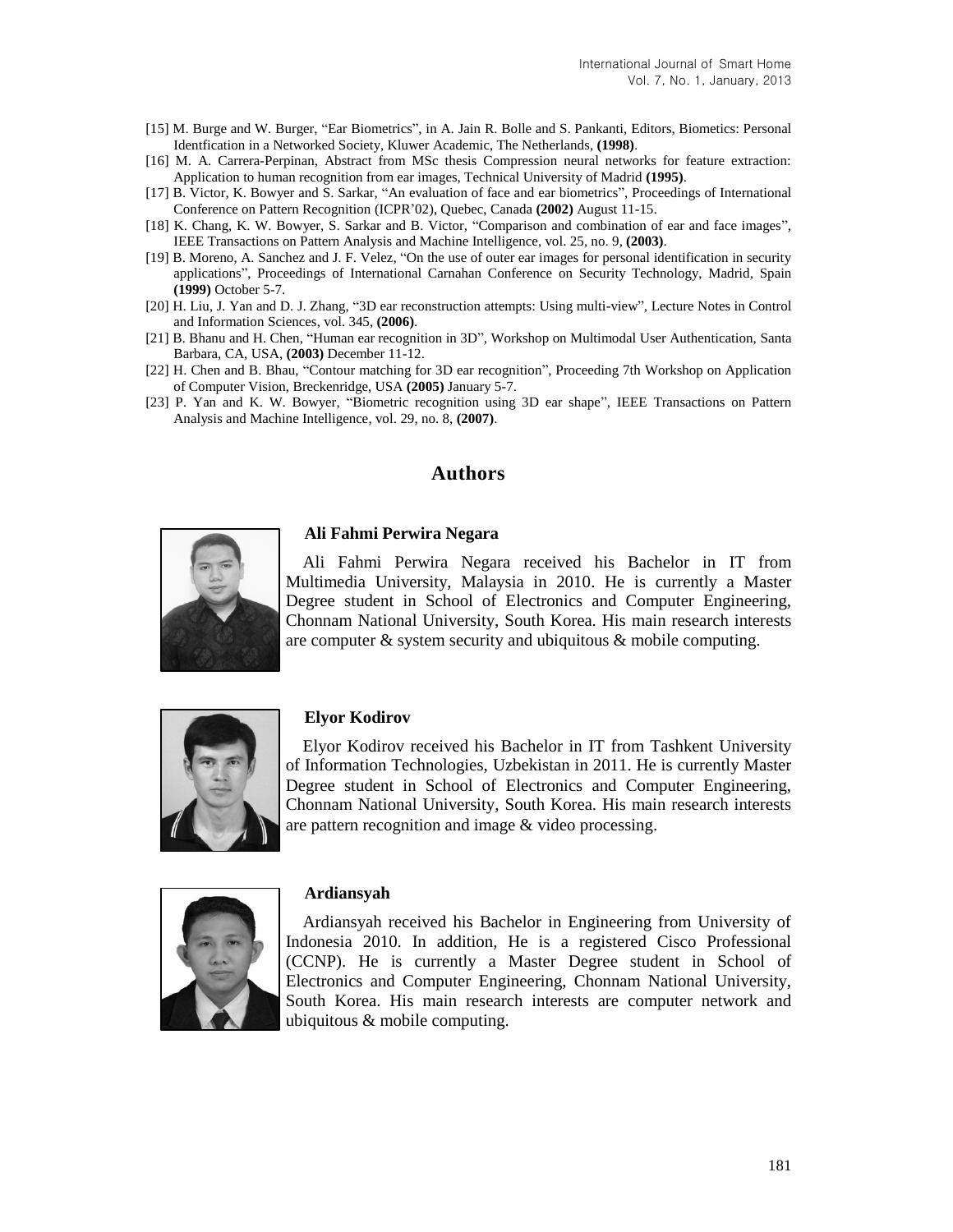- [15] M. Burge and W. Burger, "Ear Biometrics", in A. Jain R. Bolle and S. Pankanti, Editors, Biometics: Personal Identfication in a Networked Society, Kluwer Academic, The Netherlands, **(1998)**.
- [16] M. A. Carrera-Perpinan, Abstract from MSc thesis Compression neural networks for feature extraction: Application to human recognition from ear images, Technical University of Madrid **(1995)**.
- [17] B. Victor, K. Bowyer and S. Sarkar, "An evaluation of face and ear biometrics", Proceedings of International Conference on Pattern Recognition (ICPR'02), Quebec, Canada **(2002)** August 11-15.
- [18] K. Chang, K. W. Bowyer, S. Sarkar and B. Victor, "Comparison and combination of ear and face images", IEEE Transactions on Pattern Analysis and Machine Intelligence, vol. 25, no. 9, **(2003)**.
- [19] B. Moreno, A. Sanchez and J. F. Velez, "On the use of outer ear images for personal identification in security applications", Proceedings of International Carnahan Conference on Security Technology, Madrid, Spain **(1999)** October 5-7.
- [20] H. Liu, J. Yan and D. J. Zhang, "3D ear reconstruction attempts: Using multi-view", Lecture Notes in Control and Information Sciences, vol. 345, **(2006)**.
- [21] B. Bhanu and H. Chen, "Human ear recognition in 3D", Workshop on Multimodal User Authentication, Santa Barbara, CA, USA, **(2003)** December 11-12.
- [22] H. Chen and B. Bhau, "Contour matching for 3D ear recognition", Proceeding 7th Workshop on Application of Computer Vision, Breckenridge, USA **(2005)** January 5-7.
- [23] P. Yan and K. W. Bowyer, "Biometric recognition using 3D ear shape", IEEE Transactions on Pattern Analysis and Machine Intelligence, vol. 29, no. 8, **(2007)**.

# **Authors**



#### **Ali Fahmi Perwira Negara**

Ali Fahmi Perwira Negara received his Bachelor in IT from Multimedia University, Malaysia in 2010. He is currently a Master Degree student in School of Electronics and Computer Engineering, Chonnam National University, South Korea. His main research interests are computer & system security and ubiquitous & mobile computing.



#### **Elyor Kodirov**

Elyor Kodirov received his Bachelor in IT from Tashkent University of Information Technologies, Uzbekistan in 2011. He is currently Master Degree student in School of Electronics and Computer Engineering, Chonnam National University, South Korea. His main research interests are pattern recognition and image & video processing.



#### **Ardiansyah**

Ardiansyah received his Bachelor in Engineering from University of Indonesia 2010. In addition, He is a registered Cisco Professional (CCNP). He is currently a Master Degree student in School of Electronics and Computer Engineering, Chonnam National University, South Korea. His main research interests are computer network and ubiquitous & mobile computing.